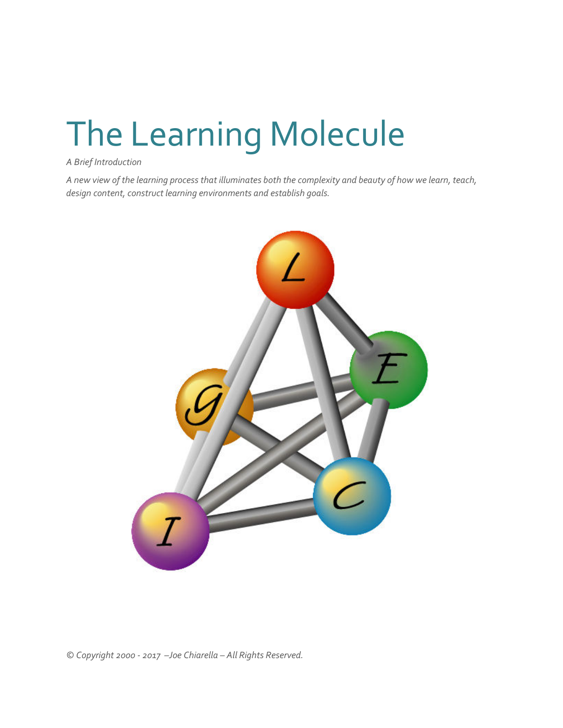# The Learning Molecule

*A Brief Introduction* 

*A new view of the learning process that illuminates both the complexity and beauty of how we learn, teach, design content, construct learning environments and establish goals.* 



*© Copyright 2000 - 2017 –Joe Chiarella – All Rights Reserved.*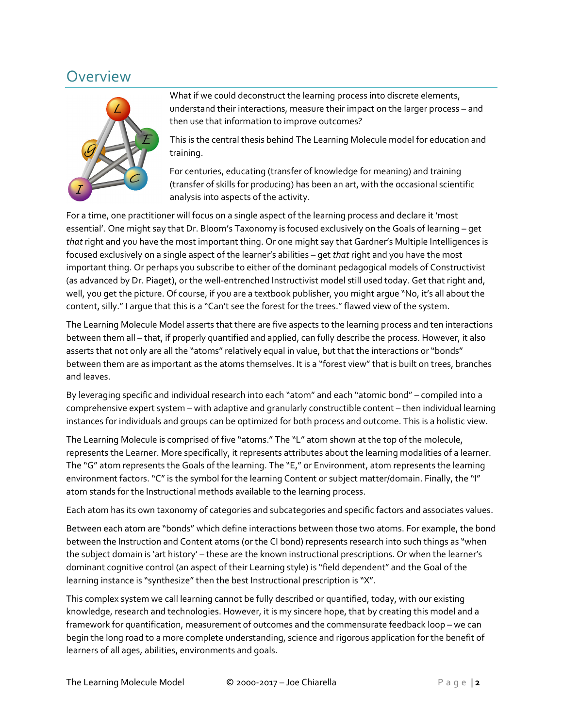### Overview



What if we could deconstruct the learning process into discrete elements, understand their interactions, measure their impact on the larger process – and then use that information to improve outcomes?

This is the central thesis behind The Learning Molecule model for education and training.

For centuries, educating (transfer of knowledge for meaning) and training (transfer of skills for producing) has been an art, with the occasional scientific analysis into aspects of the activity.

For a time, one practitioner will focus on a single aspect of the learning process and declare it 'most essential'. One might say that Dr. Bloom's Taxonomy is focused exclusively on the Goals of learning – get *that* right and you have the most important thing. Or one might say that Gardner's Multiple Intelligences is focused exclusively on a single aspect of the learner's abilities – get *that* right and you have the most important thing. Or perhaps you subscribe to either of the dominant pedagogical models of Constructivist (as advanced by Dr. Piaget), or the well-entrenched Instructivist model still used today. Get that right and, well, you get the picture. Of course, if you are a textbook publisher, you might argue "No, it's all about the content, silly." I argue that this is a "Can't see the forest for the trees." flawed view of the system.

The Learning Molecule Model asserts that there are five aspects to the learning process and ten interactions between them all – that, if properly quantified and applied, can fully describe the process. However, it also asserts that not only are all the "atoms" relatively equal in value, but that the interactions or "bonds" between them are as important as the atoms themselves. It is a "forest view" that is built on trees, branches and leaves.

By leveraging specific and individual research into each "atom" and each "atomic bond" – compiled into a comprehensive expert system – with adaptive and granularly constructible content – then individual learning instances for individuals and groups can be optimized for both process and outcome. This is a holistic view.

The Learning Molecule is comprised of five "atoms." The "L" atom shown at the top of the molecule, represents the Learner. More specifically, it represents attributes about the learning modalities of a learner. The "G" atom represents the Goals of the learning. The "E," or Environment, atom represents the learning environment factors. "C" is the symbol for the learning Content or subject matter/domain. Finally, the "I" atom stands for the Instructional methods available to the learning process.

Each atom has its own taxonomy of categories and subcategories and specific factors and associates values.

Between each atom are "bonds" which define interactions between those two atoms. For example, the bond between the Instruction and Content atoms (or the CI bond) represents research into such things as "when the subject domain is 'art history' – these are the known instructional prescriptions. Or when the learner's dominant cognitive control (an aspect of their Learning style) is "field dependent" and the Goal of the learning instance is "synthesize" then the best Instructional prescription is "X".

This complex system we call learning cannot be fully described or quantified, today, with our existing knowledge, research and technologies. However, it is my sincere hope, that by creating this model and a framework for quantification, measurement of outcomes and the commensurate feedback loop – we can begin the long road to a more complete understanding, science and rigorous application for the benefit of learners of all ages, abilities, environments and goals.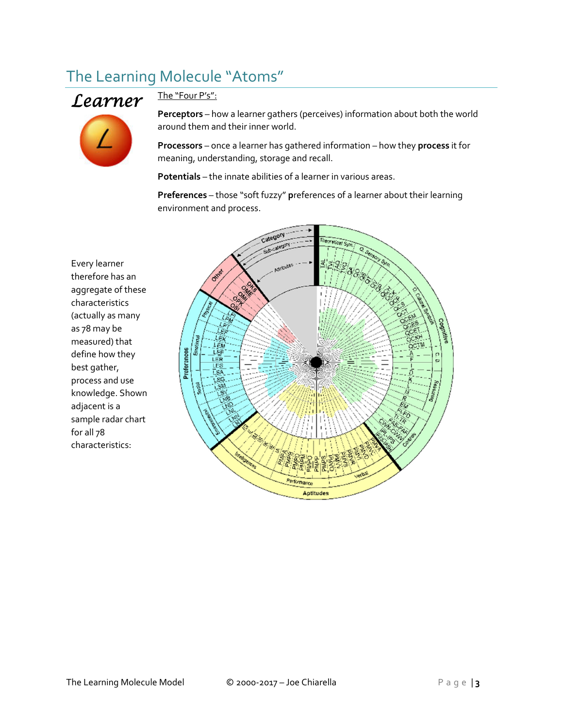## The Learning Molecule "Atoms"



#### The "Four P's":

**Perceptors** – how a learner gathers (perceives) information about both the world around them and their inner world.

**Processors** – once a learner has gathered information – how they **process** it for meaning, understanding, storage and recall.

**Potentials** – the innate abilities of a learner in various areas.

**Preferences** – those "soft fuzzy" **p**references of a learner about their learning environment and process.

Every learner therefore has an aggregate of these characteristics (actually as many as 78 may be measured) that define how they best gather, process and use knowledge. Shown adjacent is a sample radar chart for all 78 characteristics:

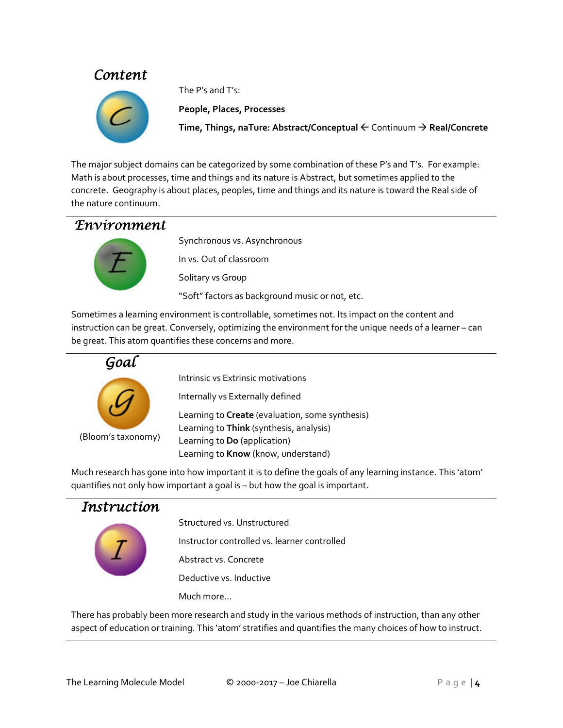#### **Content**



The P's and T's:

**People, Places, Processes** 

**Time, Things, naTure: Abstract/Conceptual** Continuum - **Real/Concrete**

The major subject domains can be categorized by some combination of these P's and T's. For example: Math is about processes, time and things and its nature is Abstract, but sometimes applied to the concrete. Geography is about places, peoples, time and things and its nature is toward the Real side of the nature continuum.

#### Environment



Synchronous vs. Asynchronous In vs. Out of classroom Solitary vs Group "Soft" factors as background music or not, etc.

Sometimes a learning environment is controllable, sometimes not. Its impact on the content and instruction can be great. Conversely, optimizing the environment for the unique needs of a learner – can be great. This atom quantifies these concerns and more.



Intrinsic vs Extrinsic motivations

Internally vs Externally defined

Learning to **Create** (evaluation, some synthesis) Learning to **Think** (synthesis, analysis) Learning to **Do** (application) Learning to **Know** (know, understand)

Much research has gone into how important it is to define the goals of any learning instance. This 'atom' quantifies not only how important a goal is – but how the goal is important.

#### Instruction



Structured vs. Unstructured

Instructor controlled vs. learner controlled

Abstract vs. Concrete

Deductive vs. Inductive

Much more…

There has probably been more research and study in the various methods of instruction, than any other aspect of education or training. This 'atom' stratifies and quantifies the many choices of how to instruct.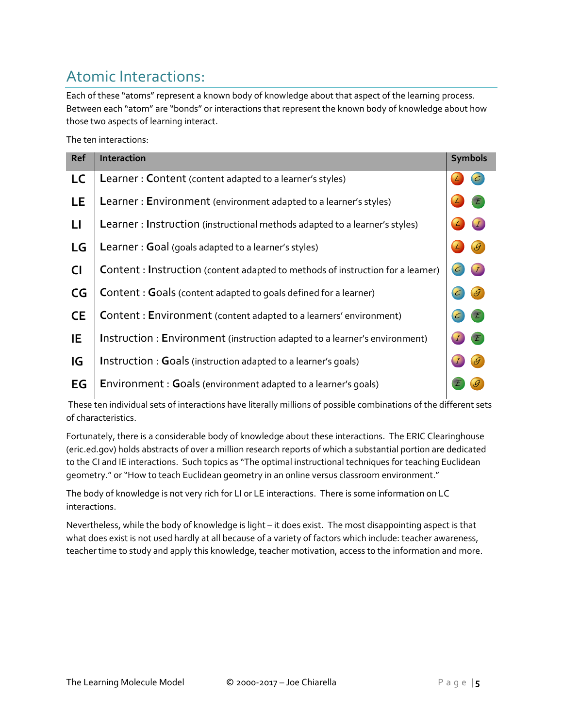## Atomic Interactions:

Each of these "atoms" represent a known body of knowledge about that aspect of the learning process. Between each "atom" are "bonds" or interactions that represent the known body of knowledge about how those two aspects of learning interact.

The ten interactions:

| Ref       | Interaction                                                                           | <b>Symbols</b> |
|-----------|---------------------------------------------------------------------------------------|----------------|
| <b>LC</b> | Learner: Content (content adapted to a learner's styles)                              |                |
| <b>LE</b> | Learner: Environment (environment adapted to a learner's styles)                      |                |
| LI        | Learner: Instruction (instructional methods adapted to a learner's styles)            |                |
| LG        | Learner: Goal (goals adapted to a learner's styles)                                   |                |
| <b>CI</b> | <b>Content: Instruction</b> (content adapted to methods of instruction for a learner) |                |
| CG        | Content : Goals (content adapted to goals defined for a learner)                      |                |
| <b>CE</b> | <b>Content: Environment</b> (content adapted to a learners' environment)              |                |
| IE        | Instruction : Environment (instruction adapted to a learner's environment)            |                |
| IG        | Instruction : Goals (instruction adapted to a learner's goals)                        |                |
| EG        | Environment : Goals (environment adapted to a learner's goals)                        |                |

 These ten individual sets of interactions have literally millions of possible combinations of the different sets of characteristics.

Fortunately, there is a considerable body of knowledge about these interactions. The ERIC Clearinghouse (eric.ed.gov) holds abstracts of over a million research reports of which a substantial portion are dedicated to the CI and IE interactions. Such topics as "The optimal instructional techniques for teaching Euclidean geometry." or "How to teach Euclidean geometry in an online versus classroom environment."

The body of knowledge is not very rich for LI or LE interactions. There is some information on LC interactions.

Nevertheless, while the body of knowledge is light – it does exist. The most disappointing aspect is that what does exist is not used hardly at all because of a variety of factors which include: teacher awareness, teacher time to study and apply this knowledge, teacher motivation, access to the information and more.